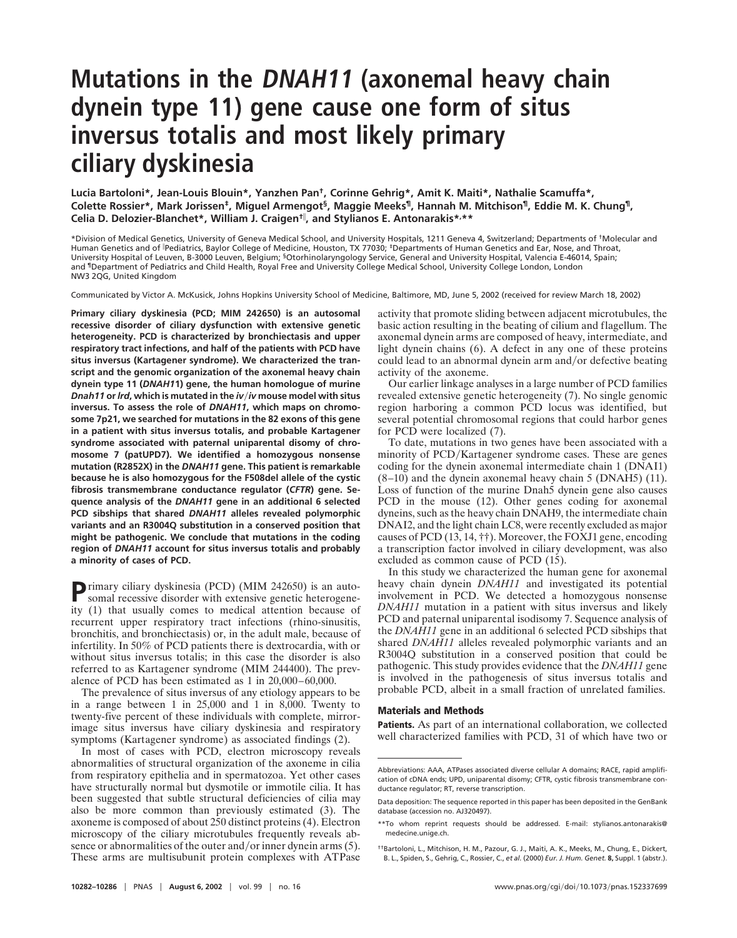# **Mutations in the DNAH11 (axonemal heavy chain dynein type 11) gene cause one form of situs inversus totalis and most likely primary ciliary dyskinesia**

**Lucia Bartoloni\*, Jean-Louis Blouin\*, Yanzhen Pan†, Corinne Gehrig\*, Amit K. Maiti\*, Nathalie Scamuffa\*, Colette Rossier\*, Mark Jorissen‡, Miguel Armengot§, Maggie Meeks¶, Hannah M. Mitchison¶, Eddie M. K. Chung¶, Celia D. Delozier-Blanchet\*, William J. Craigen† , and Stylianos E. Antonarakis\*, \*\***

\*Division of Medical Genetics, University of Geneva Medical School, and University Hospitals, 1211 Geneva 4, Switzerland; Departments of †Molecular and Human Genetics and of Pediatrics, Baylor College of Medicine, Houston, TX 77030; ‡Departments of Human Genetics and Ear, Nose, and Throat, University Hospital of Leuven, B-3000 Leuven, Belgium; §Otorhinolaryngology Service, General and University Hospital, Valencia E-46014, Spain; and ¶Department of Pediatrics and Child Health, Royal Free and University College Medical School, University College London, London NW3 2QG, United Kingdom

Communicated by Victor A. McKusick, Johns Hopkins University School of Medicine, Baltimore, MD, June 5, 2002 (received for review March 18, 2002)

**Primary ciliary dyskinesia (PCD; MIM 242650) is an autosomal recessive disorder of ciliary dysfunction with extensive genetic heterogeneity. PCD is characterized by bronchiectasis and upper respiratory tract infections, and half of the patients with PCD have situs inversus (Kartagener syndrome). We characterized the transcript and the genomic organization of the axonemal heavy chain dynein type 11 (***DNAH1***1) gene, the human homologue of murine** *Dnah11* **or***lrd***, which is mutated in the** *iv*-*iv* **mouse model with situs inversus. To assess the role of** *DNAH11***, which maps on chromosome 7p21, we searched for mutations in the 82 exons of this gene in a patient with situs inversus totalis, and probable Kartagener syndrome associated with paternal uniparental disomy of chromosome 7 (patUPD7). We identified a homozygous nonsense mutation (R2852X) in the** *DNAH11* **gene. This patient is remarkable because he is also homozygous for the F508del allele of the cystic fibrosis transmembrane conductance regulator (***CFTR***) gene. Sequence analysis of the** *DNAH11* **gene in an additional 6 selected PCD sibships that shared** *DNAH11* **alleles revealed polymorphic variants and an R3004Q substitution in a conserved position that might be pathogenic. We conclude that mutations in the coding region of** *DNAH11* **account for situs inversus totalis and probably a minority of cases of PCD.**

**P**rimary ciliary dyskinesia (PCD) (MIM 242650) is an autosomal recessive disorder with extensive genetic heterogeneity (1) that usually comes to medical attention because of recurrent upper respiratory tract infections (rhino-sinusitis, bronchitis, and bronchiectasis) or, in the adult male, because of infertility. In 50% of PCD patients there is dextrocardia, with or without situs inversus totalis; in this case the disorder is also referred to as Kartagener syndrome (MIM 244400). The prevalence of PCD has been estimated as 1 in 20,000–60,000.

The prevalence of situs inversus of any etiology appears to be in a range between 1 in 25,000 and 1 in 8,000. Twenty to twenty-five percent of these individuals with complete, mirrorimage situs inversus have ciliary dyskinesia and respiratory symptoms (Kartagener syndrome) as associated findings (2).

In most of cases with PCD, electron microscopy reveals abnormalities of structural organization of the axoneme in cilia from respiratory epithelia and in spermatozoa. Yet other cases have structurally normal but dysmotile or immotile cilia. It has been suggested that subtle structural deficiencies of cilia may also be more common than previously estimated (3). The axoneme is composed of about 250 distinct proteins (4). Electron microscopy of the ciliary microtubules frequently reveals absence or abnormalities of the outer and/or inner dynein arms (5). These arms are multisubunit protein complexes with ATPase

activity that promote sliding between adjacent microtubules, the basic action resulting in the beating of cilium and flagellum. The axonemal dynein arms are composed of heavy, intermediate, and light dynein chains (6). A defect in any one of these proteins could lead to an abnormal dynein arm and/or defective beating activity of the axoneme.

Our earlier linkage analyses in a large number of PCD families revealed extensive genetic heterogeneity (7). No single genomic region harboring a common PCD locus was identified, but several potential chromosomal regions that could harbor genes for PCD were localized (7).

To date, mutations in two genes have been associated with a minority of PCD/Kartagener syndrome cases. These are genes coding for the dynein axonemal intermediate chain 1 (DNAI1)  $(8-10)$  and the dynein axonemal heavy chain 5 (DNAH5) (11). Loss of function of the murine Dnah5 dynein gene also causes PCD in the mouse (12). Other genes coding for axonemal dyneins, such as the heavy chain DNAH9, the intermediate chain DNAI2, and the light chain LC8, were recently excluded as major causes of PCD (13, 14, ††). Moreover, the FOXJ1 gene, encoding a transcription factor involved in ciliary development, was also excluded as common cause of PCD (15).

In this study we characterized the human gene for axonemal heavy chain dynein *DNAH11* and investigated its potential involvement in PCD. We detected a homozygous nonsense *DNAH11* mutation in a patient with situs inversus and likely PCD and paternal uniparental isodisomy 7. Sequence analysis of the *DNAH11* gene in an additional 6 selected PCD sibships that shared *DNAH11* alleles revealed polymorphic variants and an R3004Q substitution in a conserved position that could be pathogenic. This study provides evidence that the *DNAH11* gene is involved in the pathogenesis of situs inversus totalis and probable PCD, albeit in a small fraction of unrelated families.

#### **Materials and Methods**

**Patients.** As part of an international collaboration, we collected well characterized families with PCD, 31 of which have two or

Abbreviations: AAA, ATPases associated diverse cellular A domains; RACE, rapid amplification of cDNA ends; UPD, uniparental disomy; CFTR, cystic fibrosis transmembrane conductance regulator; RT, reverse transcription.

Data deposition: The sequence reported in this paper has been deposited in the GenBank database (accession no. AJ320497).

<sup>\*\*</sup>To whom reprint requests should be addressed. E-mail: stylianos.antonarakis@ medecine.unige.ch.

<sup>††</sup>Bartoloni, L., Mitchison, H. M., Pazour, G. J., Maiti, A. K., Meeks, M., Chung, E., Dickert, B. L., Spiden, S., Gehrig, C., Rossier, C., *et al.* (2000) *Eur. J. Hum. Genet.* **8,** Suppl. 1 (abstr.).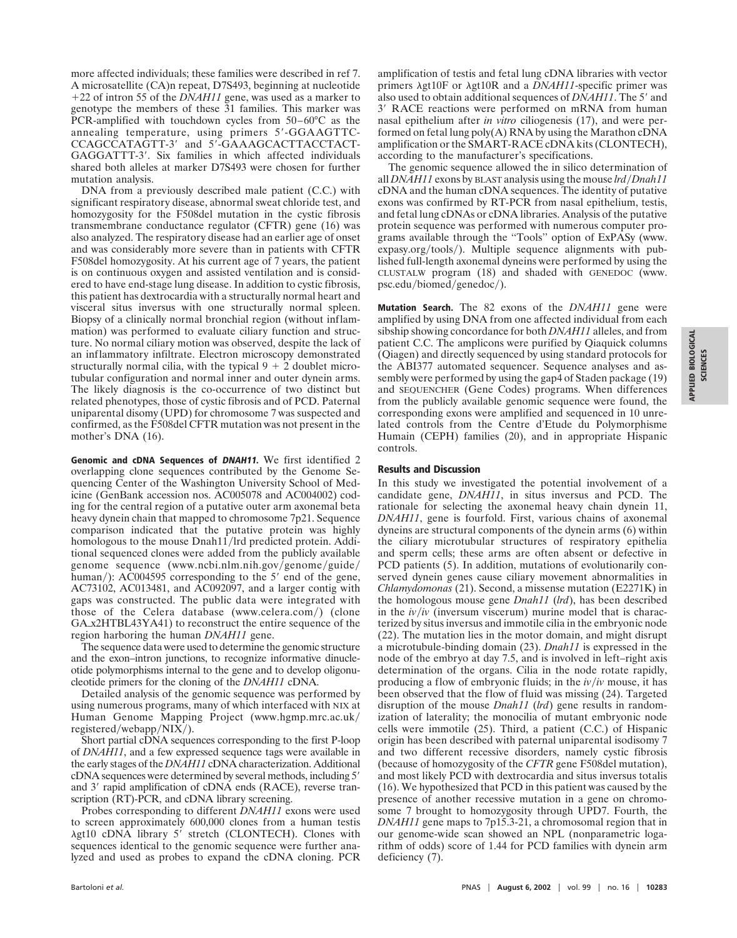more affected individuals; these families were described in ref 7. A microsatellite (CA)n repeat, D7S493, beginning at nucleotide 22 of intron 55 of the *DNAH11* gene, was used as a marker to genotype the members of these 31 families. This marker was PCR-amplified with touchdown cycles from 50–60°C as the annealing temperature, using primers 5'-GGAAGTTC-CCAGCCATAGTT-3' and 5'-GAAAGCACTTACCTACT-GAGGATTT-3'. Six families in which affected individuals shared both alleles at marker D7S493 were chosen for further mutation analysis.

DNA from a previously described male patient (C.C.) with significant respiratory disease, abnormal sweat chloride test, and homozygosity for the F508del mutation in the cystic fibrosis transmembrane conductance regulator (CFTR) gene (16) was also analyzed. The respiratory disease had an earlier age of onset and was considerably more severe than in patients with CFTR F508del homozygosity. At his current age of 7 years, the patient is on continuous oxygen and assisted ventilation and is considered to have end-stage lung disease. In addition to cystic fibrosis, this patient has dextrocardia with a structurally normal heart and visceral situs inversus with one structurally normal spleen. Biopsy of a clinically normal bronchial region (without inflammation) was performed to evaluate ciliary function and structure. No normal ciliary motion was observed, despite the lack of an inflammatory infiltrate. Electron microscopy demonstrated structurally normal cilia, with the typical  $9 + 2$  doublet microtubular configuration and normal inner and outer dynein arms. The likely diagnosis is the co-occurrence of two distinct but related phenotypes, those of cystic fibrosis and of PCD. Paternal uniparental disomy (UPD) for chromosome 7 was suspected and confirmed, as the F508del CFTR mutation was not present in the mother's DNA (16).

**Genomic and cDNA Sequences of DNAH11.** We first identified 2 overlapping clone sequences contributed by the Genome Sequencing Center of the Washington University School of Medicine (GenBank accession nos. AC005078 and AC004002) coding for the central region of a putative outer arm axonemal beta heavy dynein chain that mapped to chromosome 7p21. Sequence comparison indicated that the putative protein was highly homologous to the mouse Dnah11/lrd predicted protein. Additional sequenced clones were added from the publicly available genome sequence (www.ncbi.nlm.nih.gov/genome/guide/ human/): AC004595 corresponding to the 5' end of the gene, AC73102, AC013481, and AC092097, and a larger contig with gaps was constructed. The public data were integrated with those of the Celera database (www.celera.com/) (clone GAx2HTBL43YA41) to reconstruct the entire sequence of the region harboring the human *DNAH11* gene.

The sequence data were used to determine the genomic structure and the exon–intron junctions, to recognize informative dinucleotide polymorphisms internal to the gene and to develop oligonucleotide primers for the cloning of the *DNAH11* cDNA.

Detailed analysis of the genomic sequence was performed by using numerous programs, many of which interfaced with NIX at Human Genome Mapping Project (www.hgmp.mrc.ac.uk/ registered/webapp/NIX/).

Short partial cDNA sequences corresponding to the first P-loop of *DNAH11*, and a few expressed sequence tags were available in the early stages of the *DNAH11* cDNA characterization. Additional cDNA sequences were determined by several methods, including 5 and 3' rapid amplification of cDNA ends (RACE), reverse transcription (RT)-PCR, and cDNA library screening.

Probes corresponding to different *DNAH11* exons were used to screen approximately 600,000 clones from a human testis  $\lambda$ gt10 cDNA library 5' stretch (CLONTECH). Clones with sequences identical to the genomic sequence were further analyzed and used as probes to expand the cDNA cloning. PCR

amplification of testis and fetal lung cDNA libraries with vector primers  $\lambda$ gt10F or  $\lambda$ gt10R and a *DNAH11*-specific primer was also used to obtain additional sequences of *DNAH11*. The 5' and 3' RACE reactions were performed on mRNA from human nasal epithelium after *in vitro* ciliogenesis (17), and were performed on fetal lung poly $(A)$  RNA by using the Marathon cDNA amplification or the SMART-RACE cDNA kits (CLONTECH), according to the manufacturer's specifications.

The genomic sequence allowed the in silico determination of all *DNAH11* exons by BLAST analysis using the mouse *lrd*-*Dnah11* cDNA and the human cDNA sequences. The identity of putative exons was confirmed by RT-PCR from nasal epithelium, testis, and fetal lung cDNAs or cDNA libraries. Analysis of the putative protein sequence was performed with numerous computer programs available through the ''Tools'' option of ExPASy (www. expasy.org/tools/). Multiple sequence alignments with published full-length axonemal dyneins were performed by using the CLUSTALW program (18) and shaded with GENEDOC (www. psc.edu/biomed/genedoc/).

**Mutation Search.** The 82 exons of the *DNAH11* gene were amplified by using DNA from one affected individual from each sibship showing concordance for both *DNAH11* alleles, and from patient C.C. The amplicons were purified by Qiaquick columns (Qiagen) and directly sequenced by using standard protocols for the ABI377 automated sequencer. Sequence analyses and assembly were performed by using the gap4 of Staden package (19) and SEQUENCHER (Gene Codes) programs. When differences from the publicly available genomic sequence were found, the corresponding exons were amplified and sequenced in 10 unrelated controls from the Centre d'Etude du Polymorphisme Humain (CEPH) families (20), and in appropriate Hispanic controls.

## **Results and Discussion**

In this study we investigated the potential involvement of a candidate gene, *DNAH11*, in situs inversus and PCD. The rationale for selecting the axonemal heavy chain dynein 11, *DNAH11*, gene is fourfold. First, various chains of axonemal dyneins are structural components of the dynein arms (6) within the ciliary microtubular structures of respiratory epithelia and sperm cells; these arms are often absent or defective in PCD patients (5). In addition, mutations of evolutionarily conserved dynein genes cause ciliary movement abnormalities in *Chlamydomonas* (21). Second, a missense mutation (E2271K) in the homologous mouse gene *Dnah11* (*lrd*), has been described in the  $iv/iv$  (inversum viscerum) murine model that is characterized by situs inversus and immotile cilia in the embryonic node (22). The mutation lies in the motor domain, and might disrupt a microtubule-binding domain (23). *Dnah11* is expressed in the node of the embryo at day 7.5, and is involved in left–right axis determination of the organs. Cilia in the node rotate rapidly, producing a flow of embryonic fluids; in the  $iv/iv$  mouse, it has been observed that the flow of fluid was missing (24). Targeted disruption of the mouse *Dnah11* (*lrd*) gene results in randomization of laterality; the monocilia of mutant embryonic node cells were immotile (25). Third, a patient (C.C.) of Hispanic origin has been described with paternal uniparental isodisomy 7 and two different recessive disorders, namely cystic fibrosis (because of homozygosity of the *CFTR* gene F508del mutation), and most likely PCD with dextrocardia and situs inversus totalis (16). We hypothesized that PCD in this patient was caused by the presence of another recessive mutation in a gene on chromosome 7 brought to homozygosity through UPD7. Fourth, the *DNAH11* gene maps to 7p15.3-21, a chromosomal region that in our genome-wide scan showed an NPL (nonparametric logarithm of odds) score of 1.44 for PCD families with dynein arm deficiency (7).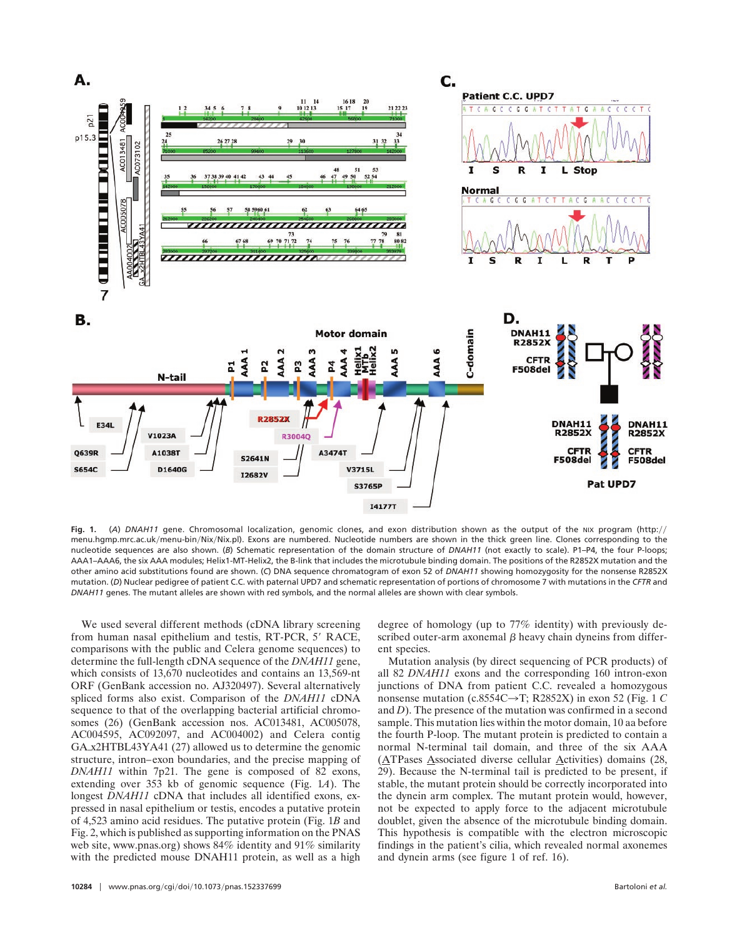

**Fig. 1.** (A) DNAH11 gene. Chromosomal localization, genomic clones, and exon distribution shown as the output of the NIX program (http:// menu.hgmp.mrc.ac.uk/menu-bin/Nix/Nix.pl). Exons are numbered. Nucleotide numbers are shown in the thick green line. Clones corresponding to the nucleotide sequences are also shown. (*B*) Schematic representation of the domain structure of *DNAH11* (not exactly to scale). P1–P4, the four P-loops; AAA1–AAA6, the six AAA modules; Helix1-MT-Helix2, the B-link that includes the microtubule binding domain. The positions of the R2852X mutation and the other amino acid substitutions found are shown. (*C*) DNA sequence chromatogram of exon 52 of *DNAH11* showing homozygosity for the nonsense R2852X mutation. (*D*) Nuclear pedigree of patient C.C. with paternal UPD7 and schematic representation of portions of chromosome 7 with mutations in the *CFTR* and *DNAH11* genes. The mutant alleles are shown with red symbols, and the normal alleles are shown with clear symbols.

We used several different methods (cDNA library screening from human nasal epithelium and testis, RT-PCR, 5' RACE, comparisons with the public and Celera genome sequences) to determine the full-length cDNA sequence of the *DNAH11* gene, which consists of 13,670 nucleotides and contains an 13,569-nt ORF (GenBank accession no. AJ320497). Several alternatively spliced forms also exist. Comparison of the *DNAH11* cDNA sequence to that of the overlapping bacterial artificial chromosomes (26) (GenBank accession nos. AC013481, AC005078, AC004595, AC092097, and AC004002) and Celera contig GAx2HTBL43YA41 (27) allowed us to determine the genomic structure, intron–exon boundaries, and the precise mapping of *DNAH11* within 7p21. The gene is composed of 82 exons, extending over 353 kb of genomic sequence (Fig. 1*A*). The longest *DNAH11* cDNA that includes all identified exons, expressed in nasal epithelium or testis, encodes a putative protein of 4,523 amino acid residues. The putative protein (Fig. 1*B* and Fig. 2, which is published as supporting information on the PNAS web site, www.pnas.org) shows 84% identity and 91% similarity with the predicted mouse DNAH11 protein, as well as a high

**<sup>10284</sup>** www.pnas.org-cgi-doi-10.1073-pnas.152337699 Bartoloni *et al.*

degree of homology (up to 77% identity) with previously described outer-arm axonemal  $\beta$  heavy chain dyneins from different species.

Mutation analysis (by direct sequencing of PCR products) of all 82 *DNAH11* exons and the corresponding 160 intron-exon junctions of DNA from patient C.C. revealed a homozygous nonsense mutation (c.8554C $\rightarrow$ T; R2852X) in exon 52 (Fig. 1 *C*) and *D*). The presence of the mutation was confirmed in a second sample. This mutation lies within the motor domain, 10 aa before the fourth P-loop. The mutant protein is predicted to contain a normal N-terminal tail domain, and three of the six AAA (ATPases Associated diverse cellular Activities) domains (28, 29). Because the N-terminal tail is predicted to be present, if stable, the mutant protein should be correctly incorporated into the dynein arm complex. The mutant protein would, however, not be expected to apply force to the adjacent microtubule doublet, given the absence of the microtubule binding domain. This hypothesis is compatible with the electron microscopic findings in the patient's cilia, which revealed normal axonemes and dynein arms (see figure 1 of ref. 16).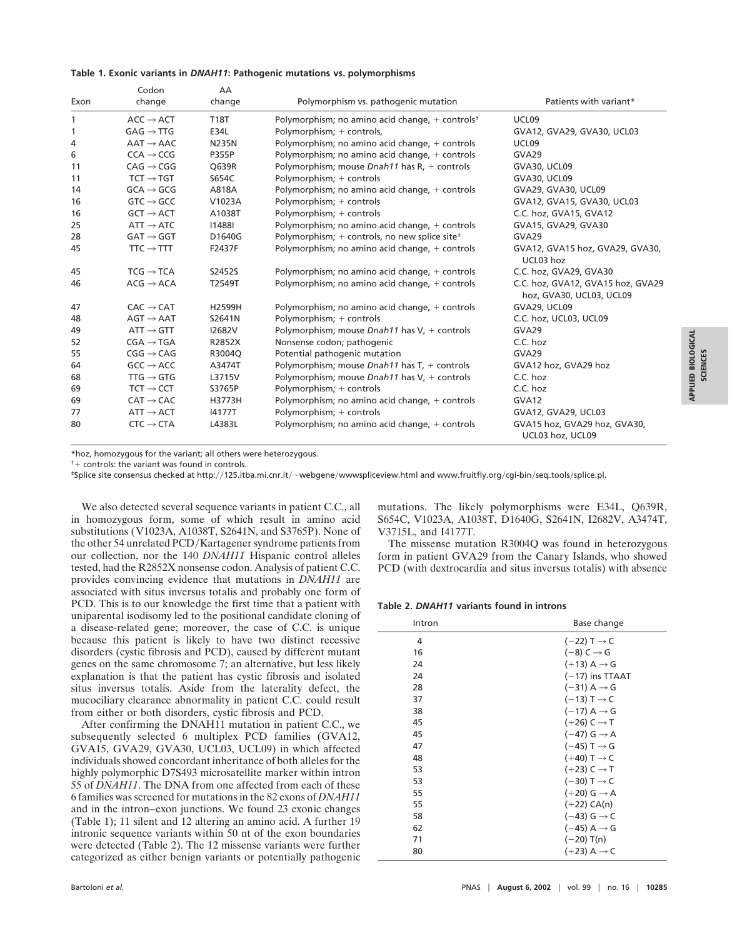#### **Table 1. Exonic variants in** *DNAH11***: Pathogenic mutations vs. polymorphisms**

| Exon | Codon<br>change       | AA<br>change  | Polymorphism vs. pathogenic mutation                                       | Patients with variant*                                        |
|------|-----------------------|---------------|----------------------------------------------------------------------------|---------------------------------------------------------------|
| 1    | $ACC \rightarrow ACT$ | <b>T18T</b>   | Polymorphism; no amino acid change, $+$ controls <sup>†</sup>              | UCL09                                                         |
| 1    | $GAG \rightarrow TTG$ | E34L          | Polymorphism; + controls,                                                  | GVA12, GVA29, GVA30, UCL03                                    |
| 4    | $AAT \rightarrow AAC$ | <b>N235N</b>  | Polymorphism; no amino acid change, $+$ controls                           | UCL09                                                         |
| 6    | $CCA \rightarrow CCG$ | <b>P355P</b>  | Polymorphism; no amino acid change, + controls                             | GVA29                                                         |
| 11   | $CAG \rightarrow CGG$ | Q639R         | Polymorphism; mouse Dnah11 has $R_t$ + controls                            | GVA30, UCL09                                                  |
| 11   | $TCT \rightarrow TGT$ | S654C         | Polymorphism; + controls                                                   | GVA30, UCL09                                                  |
| 14   | $GCA \rightarrow GCG$ | A818A         | Polymorphism; no amino acid change, $+$ controls                           | GVA29, GVA30, UCL09                                           |
| 16   | $GTC \rightarrow GCC$ | V1023A        | Polymorphism; + controls                                                   | GVA12, GVA15, GVA30, UCL03                                    |
| 16   | $GCT \rightarrow ACT$ | A1038T        | Polymorphism; + controls                                                   | C.C. hoz, GVA15, GVA12                                        |
| 25   | $ATT \rightarrow ATC$ | 114881        | Polymorphism; no amino acid change, $+$ controls                           | GVA15, GVA29, GVA30                                           |
| 28   | $GAT \rightarrow GGT$ | D1640G        | Polymorphism; $+$ controls, no new splice site <sup><math>\pm</math></sup> | GVA29                                                         |
| 45   | $TTC \rightarrow TTT$ | F2437F        | Polymorphism; no amino acid change, $+$ controls                           | GVA12, GVA15 hoz, GVA29, GVA30,<br>UCL03 hoz                  |
| 45   | $TCG \rightarrow TCA$ | S2452S        | Polymorphism; no amino acid change, $+$ controls                           | C.C. hoz, GVA29, GVA30                                        |
| 46   | $ACG \rightarrow ACA$ | T2549T        | Polymorphism; no amino acid change, $+$ controls                           | C.C. hoz, GVA12, GVA15 hoz, GVA29<br>hoz, GVA30, UCL03, UCL09 |
| 47   | $CAC \rightarrow CAT$ | H2599H        | Polymorphism; no amino acid change, $+$ controls                           | GVA29, UCL09                                                  |
| 48   | $AGT \rightarrow AAT$ | S2641N        | Polymorphism; + controls                                                   | C.C. hoz, UCL03, UCL09                                        |
| 49   | $ATT \rightarrow GTT$ | <b>I2682V</b> | Polymorphism; mouse Dnah11 has V, + controls                               | GVA29                                                         |
| 52   | $CGA \rightarrow TGA$ | R2852X        | Nonsense codon; pathogenic                                                 | C.C. hoz                                                      |
| 55   | $CGG \rightarrow CAG$ | R3004Q        | Potential pathogenic mutation                                              | GVA29                                                         |
| 64   | $GCC \rightarrow ACC$ | A3474T        | Polymorphism; mouse <i>Dnah11</i> has $T_t$ + controls                     | GVA12 hoz, GVA29 hoz                                          |
| 68   | TTG $\rightarrow$ GTG | L3715V        | Polymorphism; mouse Dnah11 has $V_1$ + controls                            | C.C. hoz                                                      |
| 69   | $TCT \rightarrow CCT$ | S3765P        | Polymorphism; + controls                                                   | C.C. hoz                                                      |
| 69   | $CAT \rightarrow CAC$ | H3773H        | Polymorphism; no amino acid change, $+$ controls                           | GVA <sub>12</sub>                                             |
| 77   | $ATT \rightarrow ACT$ | 14177T        | Polymorphism; + controls                                                   | GVA12, GVA29, UCL03                                           |
| 80   | $CTC \rightarrow CTA$ | L4383L        | Polymorphism; no amino acid change, $+$ controls                           | GVA15 hoz, GVA29 hoz, GVA30,<br>UCL03 hoz, UCL09              |

\*hoz, homozygous for the variant; all others were heterozygous.

 $<sup>†</sup>$  controls: the variant was found in controls.</sup>

\*Splice site consensus checked at http://125.itba.mi.cnr.it/~webgene/wwwspliceview.html and www.fruitfly.org/cgi-bin/seq\_tools/splice.pl.

We also detected several sequence variants in patient C.C., all in homozygous form, some of which result in amino acid substitutions (V1023A, A1038T, S2641N, and S3765P). None of the other 54 unrelated PCD/Kartagener syndrome patients from our collection, nor the 140 *DNAH11* Hispanic control alleles tested, had the R2852X nonsense codon. Analysis of patient C.C. provides convincing evidence that mutations in *DNAH11* are associated with situs inversus totalis and probably one form of PCD. This is to our knowledge the first time that a patient with uniparental isodisomy led to the positional candidate cloning of a disease-related gene; moreover, the case of C.C. is unique because this patient is likely to have two distinct recessive disorders (cystic fibrosis and PCD), caused by different mutant genes on the same chromosome 7; an alternative, but less likely explanation is that the patient has cystic fibrosis and isolated situs inversus totalis. Aside from the laterality defect, the mucociliary clearance abnormality in patient C.C. could result from either or both disorders, cystic fibrosis and PCD.

After confirming the DNAH11 mutation in patient C.C., we subsequently selected 6 multiplex PCD families (GVA12, GVA15, GVA29, GVA30, UCL03, UCL09) in which affected individuals showed concordant inheritance of both alleles for the highly polymorphic D7S493 microsatellite marker within intron 55 of *DNAH11*. The DNA from one affected from each of these 6 families was screened for mutations in the 82 exons of *DNAH11* and in the intron–exon junctions. We found 23 exonic changes (Table 1); 11 silent and 12 altering an amino acid. A further 19 intronic sequence variants within 50 nt of the exon boundaries were detected (Table 2). The 12 missense variants were further categorized as either benign variants or potentially pathogenic mutations. The likely polymorphisms were E34L, Q639R, S654C, V1023A, A1038T, D1640G, S2641N, I2682V, A3474T, V3715L, and I4177T.

The missense mutation R3004Q was found in heterozygous form in patient GVA29 from the Canary Islands, who showed PCD (with dextrocardia and situs inversus totalis) with absence

### **Table 2.** *DNAH11* **variants found in introns**

| Intron | Base change               |  |  |
|--------|---------------------------|--|--|
| 4      | $(-22)$ T $\rightarrow$ C |  |  |
| 16     | $(-8)$ C $\rightarrow$ G  |  |  |
| 24     | $(+13)$ A $\rightarrow$ G |  |  |
| 24     | $(-17)$ ins TTAAT         |  |  |
| 28     | $(-31)$ A $\rightarrow$ G |  |  |
| 37     | $(-13)$ T $\rightarrow$ C |  |  |
| 38     | $(-17)$ A $\rightarrow$ G |  |  |
| 45     | $(+26)$ C $\rightarrow$ T |  |  |
| 45     | $(-47)$ G $\rightarrow$ A |  |  |
| 47     | $(-45)$ T $\rightarrow$ G |  |  |
| 48     | $(+40)$ T $\rightarrow$ C |  |  |
| 53     | $(+23)$ C $\rightarrow$ T |  |  |
| 53     | $(-30)$ T $\rightarrow$ C |  |  |
| 55     | $(+20)$ G $\rightarrow$ A |  |  |
| 55     | $(+22)$ CA(n)             |  |  |
| 58     | $(-43)$ G $\rightarrow$ C |  |  |
| 62     | $(-45)$ A $\rightarrow$ G |  |  |
| 71     | $(-20)$ T(n)              |  |  |
| 80     | $(+23)$ A $\rightarrow$ C |  |  |